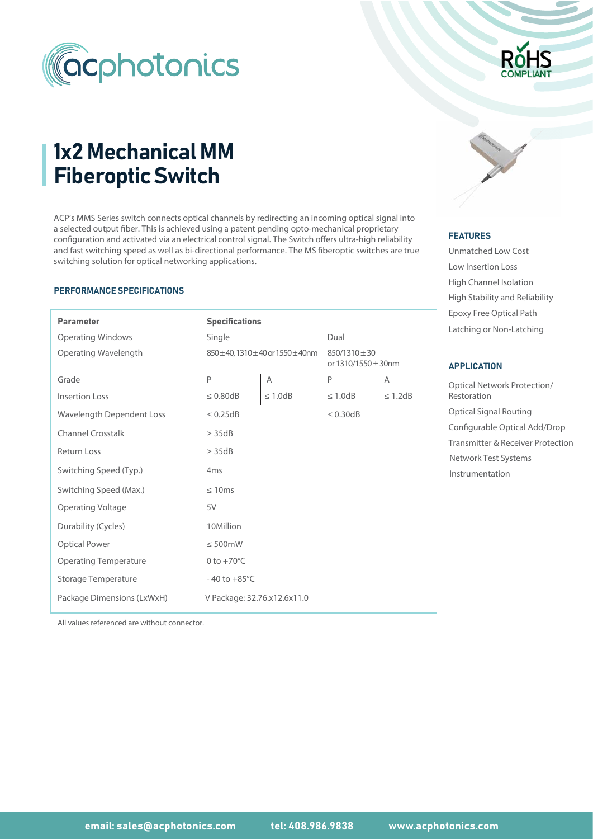

# 1x2 Mechanical MM Fiberoptic Switch

ACP's MMS Series switch connects optical channels by redirecting an incoming optical signal into a selected output fiber. This is achieved using a patent pending opto-mechanical proprietary configuration and activated via an electrical control signal. The Switch offers ultra-high reliability and fast switching speed as well as bi-directional performance. The MS fiberoptic switches are true switching solution for optical networking applications.

#### PERFORMANCE SPECIFICATIONS

I

| <b>Parameter</b>             | <b>Specifications</b>       |               |                                                   |                 | Epoxy Free Optical Path          |  |
|------------------------------|-----------------------------|---------------|---------------------------------------------------|-----------------|----------------------------------|--|
| <b>Operating Windows</b>     | Single                      |               | Dual                                              |                 | Latching or Non-Latching         |  |
| Operating Wavelength         | 850±40,1310±40 or 1550±40nm |               | $850/1310 \pm 30$<br>or $1310/1550 \pm 30$ nm     |                 | <b>APPLICATION</b>               |  |
| Grade                        | Ρ                           | A             | P                                                 | Α               | <b>Optical Network Protectio</b> |  |
| Insertion Loss               | $\leq 0.80$ dB              | $\leq 1.0$ dB | $\leq 1.0$ dB                                     | $\leq 1.2dB$    | Restoration                      |  |
| Wavelength Dependent Loss    | $\leq 0.25dB$               |               | $\leq 0.30$ dB                                    |                 | <b>Optical Signal Routing</b>    |  |
| <b>Channel Crosstalk</b>     | $\geq$ 35dB                 |               | Configurable Optical Add                          |                 |                                  |  |
| <b>Return Loss</b>           | $\geq$ 35dB                 |               | Transmitter & Receiver Pr<br>Network Test Systems |                 |                                  |  |
| Switching Speed (Typ.)       | 4 <sub>ms</sub>             |               |                                                   | Instrumentation |                                  |  |
| Switching Speed (Max.)       | $\leq 10ms$                 |               |                                                   |                 |                                  |  |
| <b>Operating Voltage</b>     | 5V                          |               |                                                   |                 |                                  |  |
| Durability (Cycles)          | 10Million                   |               |                                                   |                 |                                  |  |
| <b>Optical Power</b>         | $\leq 500$ mW               |               |                                                   |                 |                                  |  |
| <b>Operating Temperature</b> | 0 to $+70^{\circ}$ C        |               |                                                   |                 |                                  |  |
| Storage Temperature          | $-40$ to $+85^{\circ}$ C    |               |                                                   |                 |                                  |  |
| Package Dimensions (LxWxH)   | V Package: 32.76.x12.6x11.0 |               |                                                   |                 |                                  |  |



#### FEATURES

Unmatched Low Cost Low Insertion Loss High Channel Isolation Epoxy Free Optical Path High Stability and Reliability

### APPLICATION

Optical Signal Routing Optical Network Protection/ Restoration Configurable Optical Add/Drop Transmitter & Receiver Protection Instrumentation Network Test Systems

All values referenced are without connector.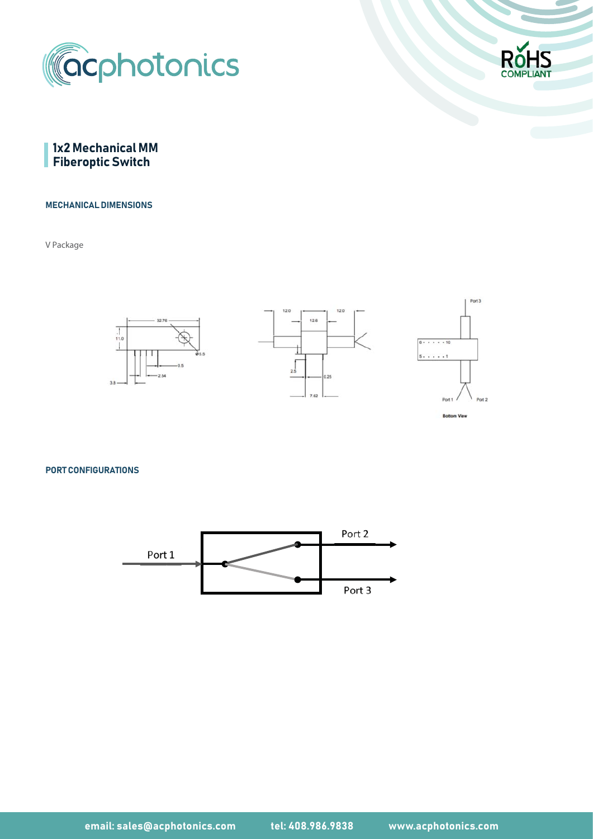





#### MECHANICAL DIMENSIONS

V Package



PORT CONFIGURATIONS